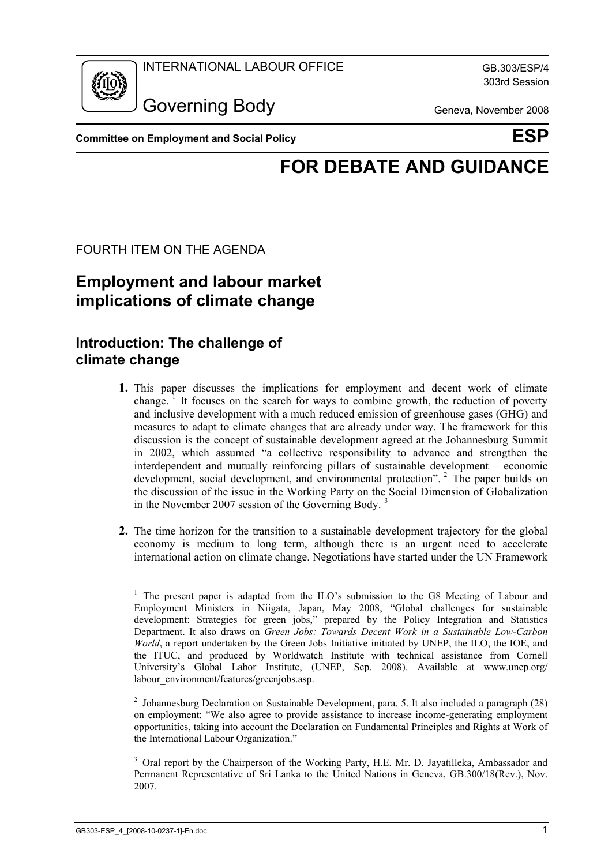

303rd Session

Governing Body Geneva, November 2008

**Committee on Employment and Social Policy Committee on ESP** 

# **FOR DEBATE AND GUIDANCE**

FOURTH ITEM ON THE AGENDA

## **Employment and labour market implications of climate change**

### **Introduction: The challenge of climate change**

- **1.** This paper discusses the implications for employment and decent work of climate change.<sup>1</sup> It focuses on the search for ways to combine growth, the reduction of poverty and inclusive development with a much reduced emission of greenhouse gases (GHG) and measures to adapt to climate changes that are already under way. The framework for this discussion is the concept of sustainable development agreed at the Johannesburg Summit in 2002, which assumed "a collective responsibility to advance and strengthen the interdependent and mutually reinforcing pillars of sustainable development – economic development, social development, and environmental protection". <sup>2</sup> The paper builds on the discussion of the issue in the Working Party on the Social Dimension of Globalization in the November 2007 session of the Governing Body.<sup>3</sup>
- **2.** The time horizon for the transition to a sustainable development trajectory for the global economy is medium to long term, although there is an urgent need to accelerate international action on climate change. Negotiations have started under the UN Framework

<sup>2</sup> Johannesburg Declaration on Sustainable Development, para. 5. It also included a paragraph  $(28)$ on employment: "We also agree to provide assistance to increase income-generating employment opportunities, taking into account the Declaration on Fundamental Principles and Rights at Work of the International Labour Organization."

3 Oral report by the Chairperson of the Working Party, H.E. Mr. D. Jayatilleka, Ambassador and Permanent Representative of Sri Lanka to the United Nations in Geneva, GB.300/18(Rev.), Nov. 2007.

<sup>&</sup>lt;sup>1</sup> The present paper is adapted from the ILO's submission to the G8 Meeting of Labour and Employment Ministers in Niigata, Japan, May 2008, "Global challenges for sustainable development: Strategies for green jobs," prepared by the Policy Integration and Statistics Department. It also draws on *Green Jobs: Towards Decent Work in a Sustainable Low-Carbon World*, a report undertaken by the Green Jobs Initiative initiated by UNEP, the ILO, the IOE, and the ITUC, and produced by Worldwatch Institute with technical assistance from Cornell University's Global Labor Institute, (UNEP, Sep. 2008). Available at www.unep.org/ labour\_environment/features/greenjobs.asp.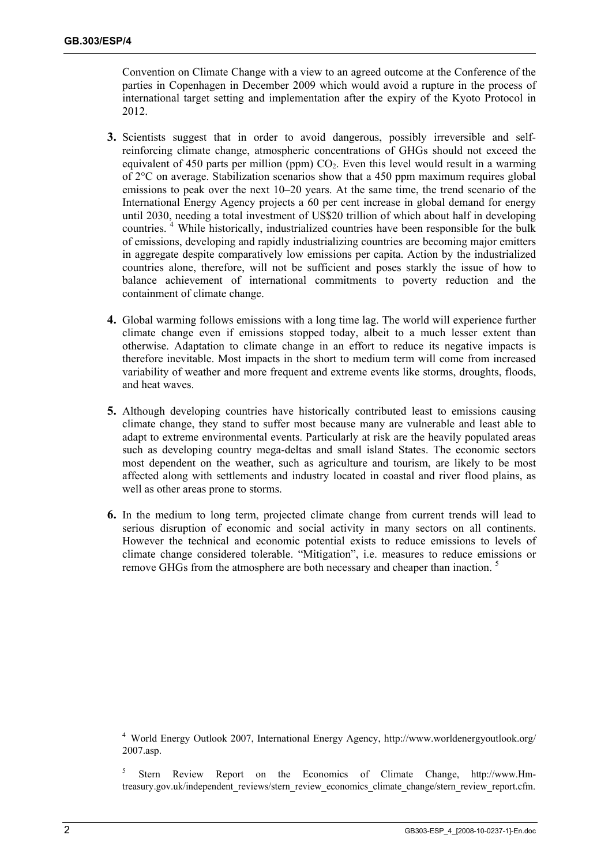Convention on Climate Change with a view to an agreed outcome at the Conference of the parties in Copenhagen in December 2009 which would avoid a rupture in the process of international target setting and implementation after the expiry of the Kyoto Protocol in 2012.

- **3.** Scientists suggest that in order to avoid dangerous, possibly irreversible and selfreinforcing climate change, atmospheric concentrations of GHGs should not exceed the equivalent of 450 parts per million (ppm)  $CO<sub>2</sub>$ . Even this level would result in a warming of 2°C on average. Stabilization scenarios show that a 450 ppm maximum requires global emissions to peak over the next 10–20 years. At the same time, the trend scenario of the International Energy Agency projects a 60 per cent increase in global demand for energy until 2030, needing a total investment of US\$20 trillion of which about half in developing countries.<sup>4</sup> While historically, industrialized countries have been responsible for the bulk of emissions, developing and rapidly industrializing countries are becoming major emitters in aggregate despite comparatively low emissions per capita. Action by the industrialized countries alone, therefore, will not be sufficient and poses starkly the issue of how to balance achievement of international commitments to poverty reduction and the containment of climate change.
- **4.** Global warming follows emissions with a long time lag. The world will experience further climate change even if emissions stopped today, albeit to a much lesser extent than otherwise. Adaptation to climate change in an effort to reduce its negative impacts is therefore inevitable. Most impacts in the short to medium term will come from increased variability of weather and more frequent and extreme events like storms, droughts, floods, and heat waves.
- **5.** Although developing countries have historically contributed least to emissions causing climate change, they stand to suffer most because many are vulnerable and least able to adapt to extreme environmental events. Particularly at risk are the heavily populated areas such as developing country mega-deltas and small island States. The economic sectors most dependent on the weather, such as agriculture and tourism, are likely to be most affected along with settlements and industry located in coastal and river flood plains, as well as other areas prone to storms.
- **6.** In the medium to long term, projected climate change from current trends will lead to serious disruption of economic and social activity in many sectors on all continents. However the technical and economic potential exists to reduce emissions to levels of climate change considered tolerable. "Mitigation", i.e. measures to reduce emissions or remove GHGs from the atmosphere are both necessary and cheaper than inaction.<sup>5</sup>

4 World Energy Outlook 2007, International Energy Agency, http://www.worldenergyoutlook.org/ 2007.asp.

5 Stern Review Report on the Economics of Climate Change, http://www.Hmtreasury.gov.uk/independent\_reviews/stern\_review\_economics\_climate\_change/stern\_review\_report.cfm.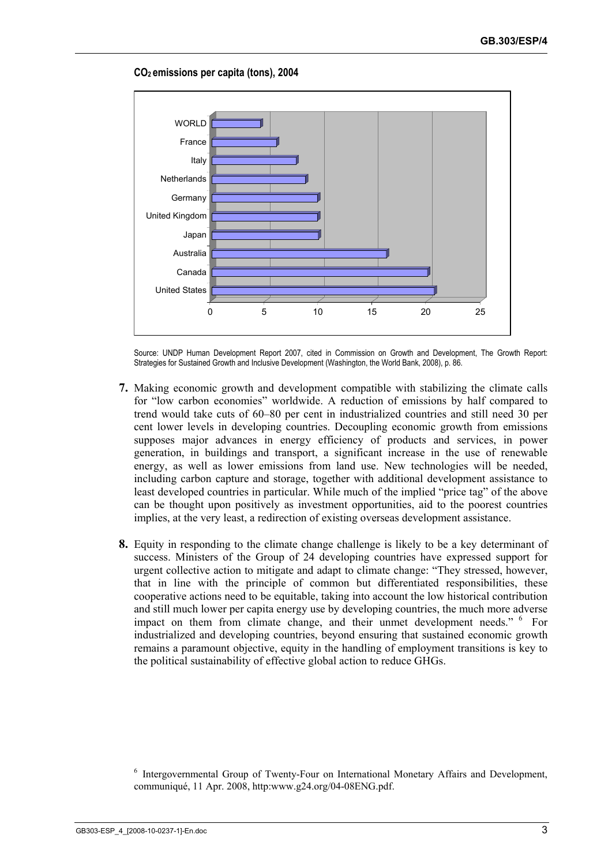

#### **CO2 emissions per capita (tons), 2004**

Source: UNDP Human Development Report 2007, cited in Commission on Growth and Development, The Growth Report: Strategies for Sustained Growth and Inclusive Development (Washington, the World Bank, 2008), p. 86.

- **7.** Making economic growth and development compatible with stabilizing the climate calls for "low carbon economies" worldwide. A reduction of emissions by half compared to trend would take cuts of 60–80 per cent in industrialized countries and still need 30 per cent lower levels in developing countries. Decoupling economic growth from emissions supposes major advances in energy efficiency of products and services, in power generation, in buildings and transport, a significant increase in the use of renewable energy, as well as lower emissions from land use. New technologies will be needed, including carbon capture and storage, together with additional development assistance to least developed countries in particular. While much of the implied "price tag" of the above can be thought upon positively as investment opportunities, aid to the poorest countries implies, at the very least, a redirection of existing overseas development assistance.
- **8.** Equity in responding to the climate change challenge is likely to be a key determinant of success. Ministers of the Group of 24 developing countries have expressed support for urgent collective action to mitigate and adapt to climate change: "They stressed, however, that in line with the principle of common but differentiated responsibilities, these cooperative actions need to be equitable, taking into account the low historical contribution and still much lower per capita energy use by developing countries, the much more adverse impact on them from climate change, and their unmet development needs." <sup>6</sup> For industrialized and developing countries, beyond ensuring that sustained economic growth remains a paramount objective, equity in the handling of employment transitions is key to the political sustainability of effective global action to reduce GHGs.

<sup>&</sup>lt;sup>6</sup> Intergovernmental Group of Twenty-Four on International Monetary Affairs and Development, communiqué, 11 Apr. 2008, http:www.g24.org/04-08ENG.pdf.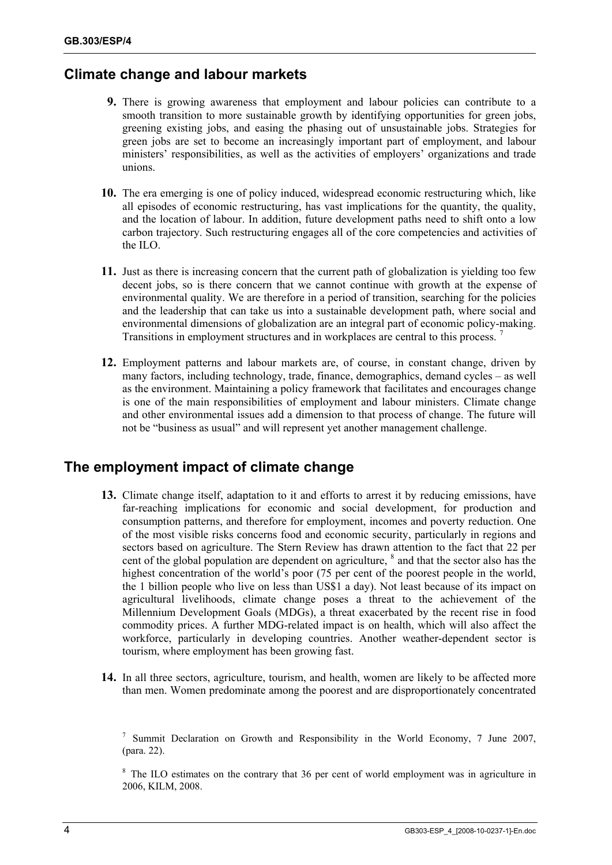### **Climate change and labour markets**

- **9.** There is growing awareness that employment and labour policies can contribute to a smooth transition to more sustainable growth by identifying opportunities for green jobs, greening existing jobs, and easing the phasing out of unsustainable jobs. Strategies for green jobs are set to become an increasingly important part of employment, and labour ministers' responsibilities, as well as the activities of employers' organizations and trade unions.
- **10.** The era emerging is one of policy induced, widespread economic restructuring which, like all episodes of economic restructuring, has vast implications for the quantity, the quality, and the location of labour. In addition, future development paths need to shift onto a low carbon trajectory. Such restructuring engages all of the core competencies and activities of the ILO.
- **11.** Just as there is increasing concern that the current path of globalization is yielding too few decent jobs, so is there concern that we cannot continue with growth at the expense of environmental quality. We are therefore in a period of transition, searching for the policies and the leadership that can take us into a sustainable development path, where social and environmental dimensions of globalization are an integral part of economic policy-making. Transitions in employment structures and in workplaces are central to this process.<sup>7</sup>
- **12.** Employment patterns and labour markets are, of course, in constant change, driven by many factors, including technology, trade, finance, demographics, demand cycles – as well as the environment. Maintaining a policy framework that facilitates and encourages change is one of the main responsibilities of employment and labour ministers. Climate change and other environmental issues add a dimension to that process of change. The future will not be "business as usual" and will represent yet another management challenge.

### **The employment impact of climate change**

- **13.** Climate change itself, adaptation to it and efforts to arrest it by reducing emissions, have far-reaching implications for economic and social development, for production and consumption patterns, and therefore for employment, incomes and poverty reduction. One of the most visible risks concerns food and economic security, particularly in regions and sectors based on agriculture. The Stern Review has drawn attention to the fact that 22 per cent of the global population are dependent on agriculture,  $\delta$  and that the sector also has the highest concentration of the world's poor (75 per cent of the poorest people in the world, the 1 billion people who live on less than US\$1 a day). Not least because of its impact on agricultural livelihoods, climate change poses a threat to the achievement of the Millennium Development Goals (MDGs), a threat exacerbated by the recent rise in food commodity prices. A further MDG-related impact is on health, which will also affect the workforce, particularly in developing countries. Another weather-dependent sector is tourism, where employment has been growing fast.
- **14.** In all three sectors, agriculture, tourism, and health, women are likely to be affected more than men. Women predominate among the poorest and are disproportionately concentrated

<sup>&</sup>lt;sup>7</sup> Summit Declaration on Growth and Responsibility in the World Economy, 7 June 2007, (para. 22).

<sup>&</sup>lt;sup>8</sup> The ILO estimates on the contrary that 36 per cent of world employment was in agriculture in 2006, KILM, 2008.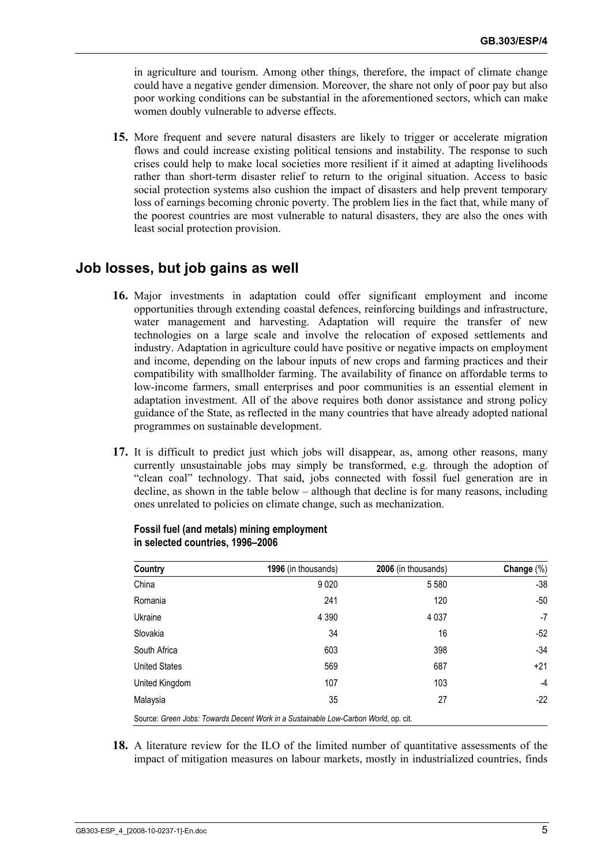in agriculture and tourism. Among other things, therefore, the impact of climate change could have a negative gender dimension. Moreover, the share not only of poor pay but also poor working conditions can be substantial in the aforementioned sectors, which can make women doubly vulnerable to adverse effects.

**15.** More frequent and severe natural disasters are likely to trigger or accelerate migration flows and could increase existing political tensions and instability. The response to such crises could help to make local societies more resilient if it aimed at adapting livelihoods rather than short-term disaster relief to return to the original situation. Access to basic social protection systems also cushion the impact of disasters and help prevent temporary loss of earnings becoming chronic poverty. The problem lies in the fact that, while many of the poorest countries are most vulnerable to natural disasters, they are also the ones with least social protection provision.

### **Job losses, but job gains as well**

- **16.** Major investments in adaptation could offer significant employment and income opportunities through extending coastal defences, reinforcing buildings and infrastructure, water management and harvesting. Adaptation will require the transfer of new technologies on a large scale and involve the relocation of exposed settlements and industry. Adaptation in agriculture could have positive or negative impacts on employment and income, depending on the labour inputs of new crops and farming practices and their compatibility with smallholder farming. The availability of finance on affordable terms to low-income farmers, small enterprises and poor communities is an essential element in adaptation investment. All of the above requires both donor assistance and strong policy guidance of the State, as reflected in the many countries that have already adopted national programmes on sustainable development.
- **17.** It is difficult to predict just which jobs will disappear, as, among other reasons, many currently unsustainable jobs may simply be transformed, e.g. through the adoption of "clean coal" technology. That said, jobs connected with fossil fuel generation are in decline, as shown in the table below – although that decline is for many reasons, including ones unrelated to policies on climate change, such as mechanization.

| Country              | 1996 (in thousands)                                                                 | 2006 (in thousands) | Change $(\%)$ |
|----------------------|-------------------------------------------------------------------------------------|---------------------|---------------|
| China                | 9020                                                                                | 5 5 8 0             | $-38$         |
| Romania              | 241                                                                                 | 120                 | $-50$         |
| Ukraine              | 4 3 9 0                                                                             | 4 0 3 7             | $-7$          |
| Slovakia             | 34                                                                                  | 16                  | $-52$         |
| South Africa         | 603                                                                                 | 398                 | $-34$         |
| <b>United States</b> | 569                                                                                 | 687                 | $+21$         |
| United Kingdom       | 107                                                                                 | 103                 | $-4$          |
| Malaysia             | 35                                                                                  | 27                  | $-22$         |
|                      | Source: Green Jobs: Towards Decent Work in a Sustainable Low-Carbon World, op. cit. |                     |               |

#### **Fossil fuel (and metals) mining employment in selected countries, 1996–2006**

**18.** A literature review for the ILO of the limited number of quantitative assessments of the impact of mitigation measures on labour markets, mostly in industrialized countries, finds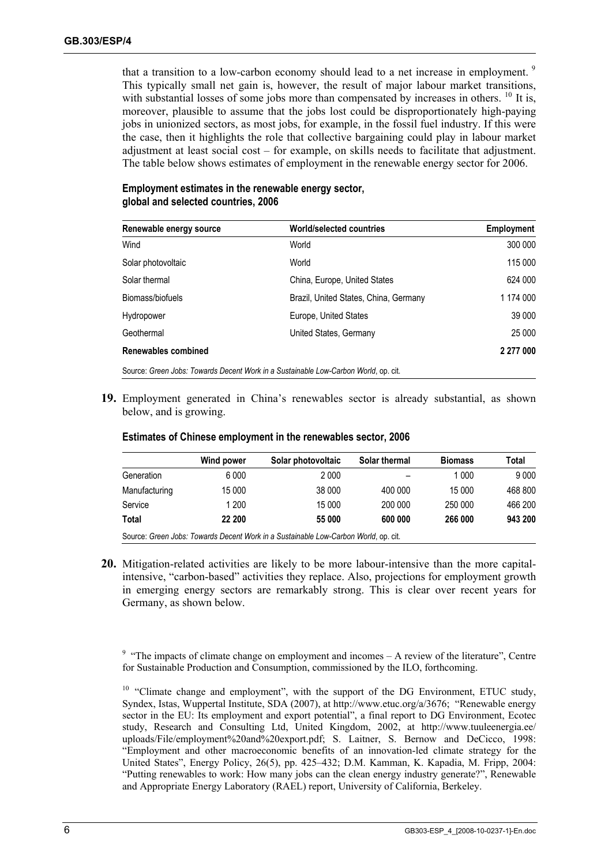that a transition to a low-carbon economy should lead to a net increase in employment.<sup>9</sup> This typically small net gain is, however, the result of major labour market transitions, with substantial losses of some jobs more than compensated by increases in others.  $^{10}$  It is, moreover, plausible to assume that the jobs lost could be disproportionately high-paying jobs in unionized sectors, as most jobs, for example, in the fossil fuel industry. If this were the case, then it highlights the role that collective bargaining could play in labour market adjustment at least social cost – for example, on skills needs to facilitate that adjustment. The table below shows estimates of employment in the renewable energy sector for 2006.

| Employment estimates in the renewable energy sector, |
|------------------------------------------------------|
| global and selected countries, 2006                  |

| Renewable energy source | <b>World/selected countries</b>                                                     | Employment |
|-------------------------|-------------------------------------------------------------------------------------|------------|
| Wind                    | World                                                                               | 300 000    |
| Solar photovoltaic      | World                                                                               | 115 000    |
| Solar thermal           | China, Europe, United States                                                        | 624 000    |
| Biomass/biofuels        | Brazil, United States, China, Germany                                               | 1 174 000  |
| Hydropower              | Europe, United States                                                               | 39 000     |
| Geothermal              | United States, Germany                                                              | 25 000     |
| Renewables combined     |                                                                                     | 2 277 000  |
|                         | Source: Green Jobs: Towards Decent Work in a Sustainable Low-Carbon World, op. cit. |            |

**19.** Employment generated in China's renewables sector is already substantial, as shown below, and is growing.

|                                                                                     | Wind power | Solar photovoltaic | Solar thermal | <b>Biomass</b> | Total   |
|-------------------------------------------------------------------------------------|------------|--------------------|---------------|----------------|---------|
| Generation                                                                          | 6 0 0 0    | 2 000              |               | 1 0 0 0        | 9 0 0 0 |
| Manufacturing                                                                       | 15 000     | 38 000             | 400 000       | 15 000         | 468 800 |
| Service                                                                             | 1 200      | 15 000             | 200 000       | 250 000        | 466 200 |
| Total                                                                               | 22 200     | 55 000             | 600 000       | 266 000        | 943 200 |
| Source: Green Jobs: Towards Decent Work in a Sustainable Low-Carbon World, op. cit. |            |                    |               |                |         |

#### **Estimates of Chinese employment in the renewables sector, 2006**

**20.** Mitigation-related activities are likely to be more labour-intensive than the more capitalintensive, "carbon-based" activities they replace. Also, projections for employment growth in emerging energy sectors are remarkably strong. This is clear over recent years for Germany, as shown below.

<sup>9</sup> "The impacts of climate change on employment and incomes  $- A$  review of the literature", Centre for Sustainable Production and Consumption, commissioned by the ILO, forthcoming.

<sup>&</sup>lt;sup>10</sup> "Climate change and employment", with the support of the DG Environment, ETUC study, Syndex, Istas, Wuppertal Institute, SDA (2007), at http://www.etuc.org/a/3676; "Renewable energy sector in the EU: Its employment and export potential", a final report to DG Environment, Ecotec study, Research and Consulting Ltd, United Kingdom, 2002, at http://www.tuuleenergia.ee/ uploads/File/employment%20and%20export.pdf; S. Laitner, S. Bernow and DeCicco, 1998: "Employment and other macroeconomic benefits of an innovation-led climate strategy for the United States", Energy Policy, 26(5), pp. 425–432; D.M. Kamman, K. Kapadia, M. Fripp, 2004: "Putting renewables to work: How many jobs can the clean energy industry generate?", Renewable and Appropriate Energy Laboratory (RAEL) report, University of California, Berkeley.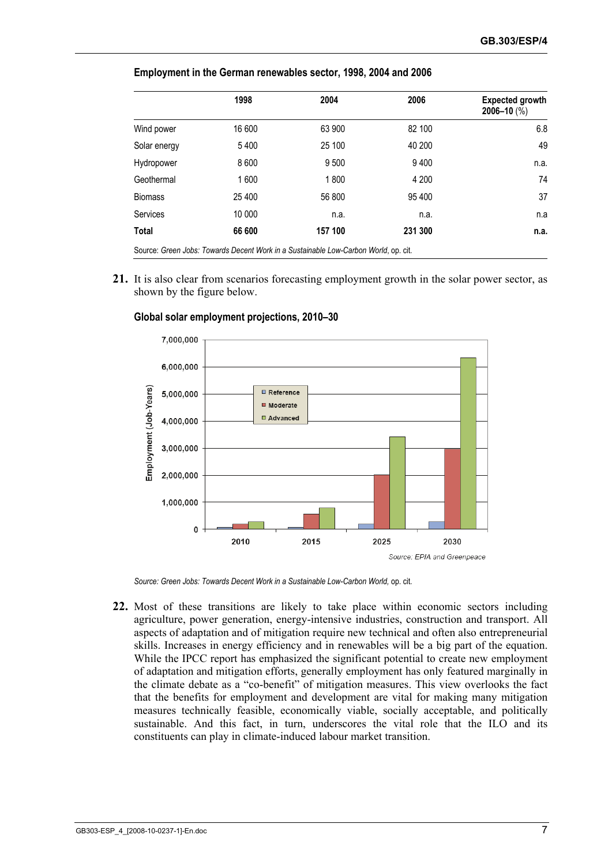|                | 1998    | 2004                                                                                | 2006    | <b>Expected growth</b><br>$2006 - 10$ (%) |
|----------------|---------|-------------------------------------------------------------------------------------|---------|-------------------------------------------|
| Wind power     | 16 600  | 63 900                                                                              | 82 100  | 6.8                                       |
| Solar energy   | 5400    | 25 100                                                                              | 40 200  | 49                                        |
| Hydropower     | 8 6 0 0 | 9 500                                                                               | 9400    | n.a.                                      |
| Geothermal     | 1600    | 1800                                                                                | 4 200   | 74                                        |
| <b>Biomass</b> | 25 400  | 56 800                                                                              | 95 400  | 37                                        |
| Services       | 10 000  | n.a.                                                                                | n.a.    | n.a                                       |
| <b>Total</b>   | 66 600  | 157 100                                                                             | 231 300 | n.a.                                      |
|                |         | Source: Green Jobs: Towards Decent Work in a Sustainable Low-Carbon World, op. cit. |         |                                           |

#### **Employment in the German renewables sector, 1998, 2004 and 2006**

**21.** It is also clear from scenarios forecasting employment growth in the solar power sector, as shown by the figure below.



 **Global solar employment projections, 2010–30** 

*Source: Green Jobs: Towards Decent Work in a Sustainable Low-Carbon World,* op. cit.

**22.** Most of these transitions are likely to take place within economic sectors including agriculture, power generation, energy-intensive industries, construction and transport. All aspects of adaptation and of mitigation require new technical and often also entrepreneurial skills. Increases in energy efficiency and in renewables will be a big part of the equation. While the IPCC report has emphasized the significant potential to create new employment of adaptation and mitigation efforts, generally employment has only featured marginally in the climate debate as a "co-benefit" of mitigation measures. This view overlooks the fact that the benefits for employment and development are vital for making many mitigation measures technically feasible, economically viable, socially acceptable, and politically sustainable. And this fact, in turn, underscores the vital role that the ILO and its constituents can play in climate-induced labour market transition.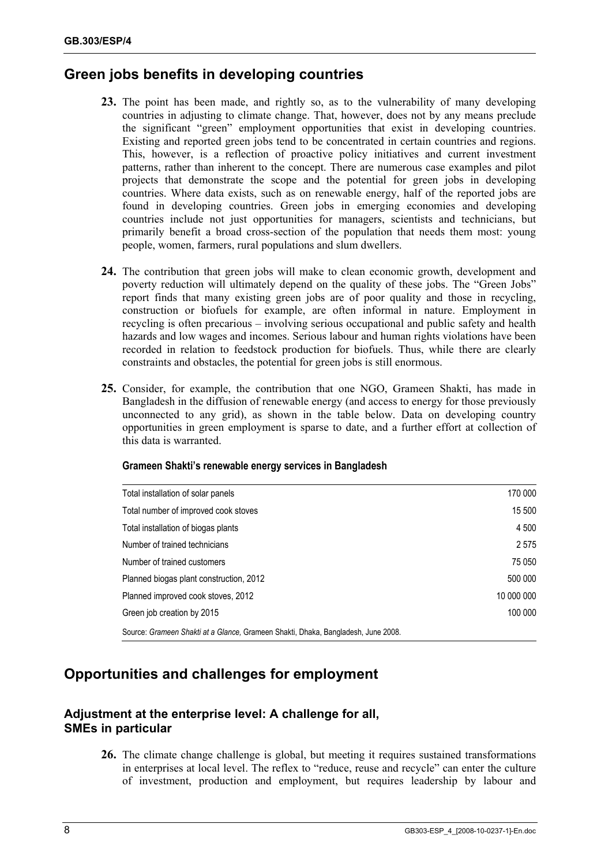### **Green jobs benefits in developing countries**

- **23.** The point has been made, and rightly so, as to the vulnerability of many developing countries in adjusting to climate change. That, however, does not by any means preclude the significant "green" employment opportunities that exist in developing countries. Existing and reported green jobs tend to be concentrated in certain countries and regions. This, however, is a reflection of proactive policy initiatives and current investment patterns, rather than inherent to the concept. There are numerous case examples and pilot projects that demonstrate the scope and the potential for green jobs in developing countries. Where data exists, such as on renewable energy, half of the reported jobs are found in developing countries. Green jobs in emerging economies and developing countries include not just opportunities for managers, scientists and technicians, but primarily benefit a broad cross-section of the population that needs them most: young people, women, farmers, rural populations and slum dwellers.
- **24.** The contribution that green jobs will make to clean economic growth, development and poverty reduction will ultimately depend on the quality of these jobs. The "Green Jobs" report finds that many existing green jobs are of poor quality and those in recycling, construction or biofuels for example, are often informal in nature. Employment in recycling is often precarious – involving serious occupational and public safety and health hazards and low wages and incomes. Serious labour and human rights violations have been recorded in relation to feedstock production for biofuels. Thus, while there are clearly constraints and obstacles, the potential for green jobs is still enormous.
- **25.** Consider, for example, the contribution that one NGO, Grameen Shakti, has made in Bangladesh in the diffusion of renewable energy (and access to energy for those previously unconnected to any grid), as shown in the table below. Data on developing country opportunities in green employment is sparse to date, and a further effort at collection of this data is warranted.

| Total installation of solar panels                                                | 170 000    |
|-----------------------------------------------------------------------------------|------------|
| Total number of improved cook stoves                                              | 15 500     |
| Total installation of biogas plants                                               | 4 500      |
| Number of trained technicians                                                     | 2575       |
| Number of trained customers                                                       | 75 050     |
| Planned biogas plant construction, 2012                                           | 500 000    |
| Planned improved cook stoves, 2012                                                | 10 000 000 |
| Green job creation by 2015                                                        | 100 000    |
| Source: Grameen Shakti at a Glance, Grameen Shakti, Dhaka, Bangladesh, June 2008. |            |

#### **Grameen Shakti's renewable energy services in Bangladesh**

### **Opportunities and challenges for employment**

### **Adjustment at the enterprise level: A challenge for all, SMEs in particular**

**26.** The climate change challenge is global, but meeting it requires sustained transformations in enterprises at local level. The reflex to "reduce, reuse and recycle" can enter the culture of investment, production and employment, but requires leadership by labour and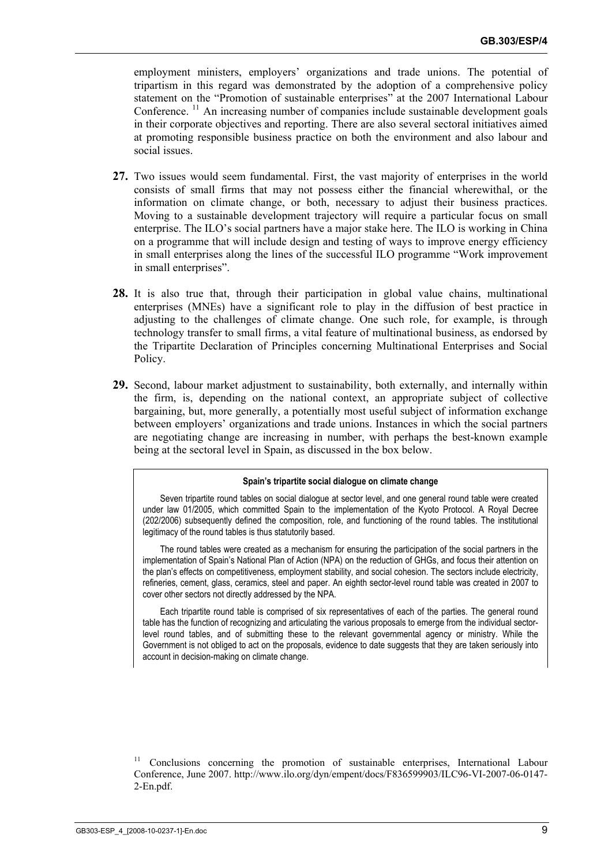employment ministers, employers' organizations and trade unions. The potential of tripartism in this regard was demonstrated by the adoption of a comprehensive policy statement on the "Promotion of sustainable enterprises" at the 2007 International Labour Conference.  $\frac{11}{11}$  An increasing number of companies include sustainable development goals in their corporate objectives and reporting. There are also several sectoral initiatives aimed at promoting responsible business practice on both the environment and also labour and social issues.

- **27.** Two issues would seem fundamental. First, the vast majority of enterprises in the world consists of small firms that may not possess either the financial wherewithal, or the information on climate change, or both, necessary to adjust their business practices. Moving to a sustainable development trajectory will require a particular focus on small enterprise. The ILO's social partners have a major stake here. The ILO is working in China on a programme that will include design and testing of ways to improve energy efficiency in small enterprises along the lines of the successful ILO programme "Work improvement in small enterprises".
- **28.** It is also true that, through their participation in global value chains, multinational enterprises (MNEs) have a significant role to play in the diffusion of best practice in adjusting to the challenges of climate change. One such role, for example, is through technology transfer to small firms, a vital feature of multinational business, as endorsed by the Tripartite Declaration of Principles concerning Multinational Enterprises and Social Policy.
- **29.** Second, labour market adjustment to sustainability, both externally, and internally within the firm, is, depending on the national context, an appropriate subject of collective bargaining, but, more generally, a potentially most useful subject of information exchange between employers' organizations and trade unions. Instances in which the social partners are negotiating change are increasing in number, with perhaps the best-known example being at the sectoral level in Spain, as discussed in the box below.

#### **Spain's tripartite social dialogue on climate change**

Seven tripartite round tables on social dialogue at sector level, and one general round table were created under law 01/2005, which committed Spain to the implementation of the Kyoto Protocol. A Royal Decree (202/2006) subsequently defined the composition, role, and functioning of the round tables. The institutional legitimacy of the round tables is thus statutorily based.

The round tables were created as a mechanism for ensuring the participation of the social partners in the implementation of Spain's National Plan of Action (NPA) on the reduction of GHGs, and focus their attention on the plan's effects on competitiveness, employment stability, and social cohesion. The sectors include electricity, refineries, cement, glass, ceramics, steel and paper. An eighth sector-level round table was created in 2007 to cover other sectors not directly addressed by the NPA.

Each tripartite round table is comprised of six representatives of each of the parties. The general round table has the function of recognizing and articulating the various proposals to emerge from the individual sectorlevel round tables, and of submitting these to the relevant governmental agency or ministry. While the Government is not obliged to act on the proposals, evidence to date suggests that they are taken seriously into account in decision-making on climate change.

<sup>11</sup> Conclusions concerning the promotion of sustainable enterprises, International Labour Conference, June 2007. http://www.ilo.org/dyn/empent/docs/F836599903/ILC96-VI-2007-06-0147- 2-En.pdf.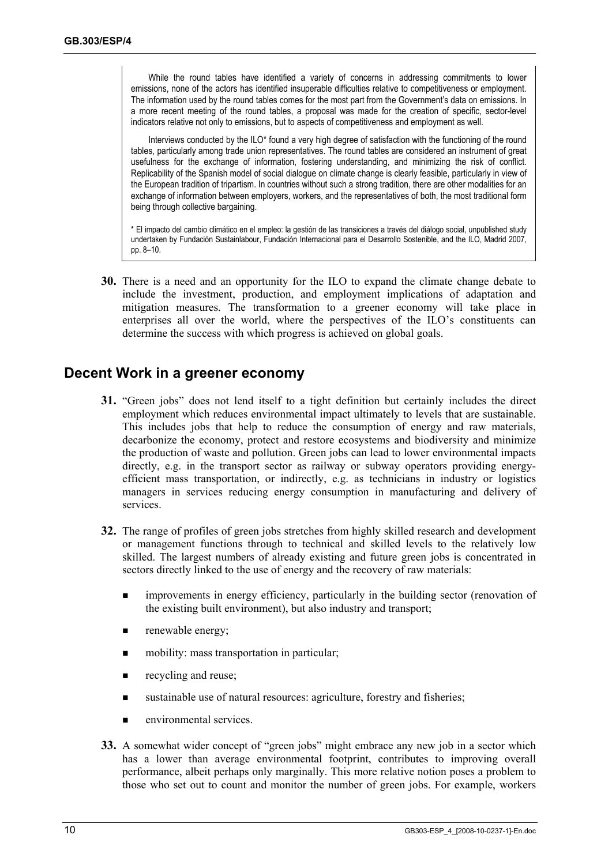While the round tables have identified a variety of concerns in addressing commitments to lower emissions, none of the actors has identified insuperable difficulties relative to competitiveness or employment. The information used by the round tables comes for the most part from the Government's data on emissions. In a more recent meeting of the round tables, a proposal was made for the creation of specific, sector-level indicators relative not only to emissions, but to aspects of competitiveness and employment as well.

Interviews conducted by the ILO\* found a very high degree of satisfaction with the functioning of the round tables, particularly among trade union representatives. The round tables are considered an instrument of great usefulness for the exchange of information, fostering understanding, and minimizing the risk of conflict. Replicability of the Spanish model of social dialogue on climate change is clearly feasible, particularly in view of the European tradition of tripartism. In countries without such a strong tradition, there are other modalities for an exchange of information between employers, workers, and the representatives of both, the most traditional form being through collective bargaining.

\* El impacto del cambio climático en el empleo: la gestión de las transiciones a través del diálogo social, unpublished study undertaken by Fundación Sustainlabour, Fundación Internacional para el Desarrollo Sostenible, and the ILO, Madrid 2007, pp. 8–10.

**30.** There is a need and an opportunity for the ILO to expand the climate change debate to include the investment, production, and employment implications of adaptation and mitigation measures. The transformation to a greener economy will take place in enterprises all over the world, where the perspectives of the ILO's constituents can determine the success with which progress is achieved on global goals.

### **Decent Work in a greener economy**

- **31.** "Green jobs" does not lend itself to a tight definition but certainly includes the direct employment which reduces environmental impact ultimately to levels that are sustainable. This includes jobs that help to reduce the consumption of energy and raw materials, decarbonize the economy, protect and restore ecosystems and biodiversity and minimize the production of waste and pollution. Green jobs can lead to lower environmental impacts directly, e.g. in the transport sector as railway or subway operators providing energyefficient mass transportation, or indirectly, e.g. as technicians in industry or logistics managers in services reducing energy consumption in manufacturing and delivery of services.
- **32.** The range of profiles of green jobs stretches from highly skilled research and development or management functions through to technical and skilled levels to the relatively low skilled. The largest numbers of already existing and future green jobs is concentrated in sectors directly linked to the use of energy and the recovery of raw materials:
	- **Influent** in energy efficiency, particularly in the building sector (renovation of the existing built environment), but also industry and transport;
	- **n** renewable energy;
	- **n** mobility: mass transportation in particular;
	- $\blacksquare$  recycling and reuse;
	- sustainable use of natural resources: agriculture, forestry and fisheries;
	- **EXECUTE:** environmental services.
- **33.** A somewhat wider concept of "green jobs" might embrace any new job in a sector which has a lower than average environmental footprint, contributes to improving overall performance, albeit perhaps only marginally. This more relative notion poses a problem to those who set out to count and monitor the number of green jobs. For example, workers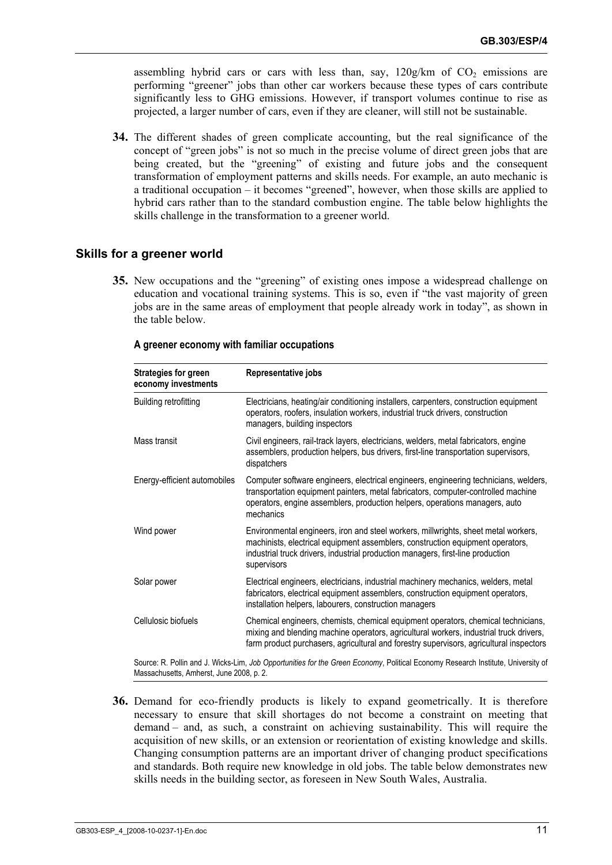assembling hybrid cars or cars with less than, say,  $120g/km$  of  $CO<sub>2</sub>$  emissions are performing "greener" jobs than other car workers because these types of cars contribute significantly less to GHG emissions. However, if transport volumes continue to rise as projected, a larger number of cars, even if they are cleaner, will still not be sustainable.

**34.** The different shades of green complicate accounting, but the real significance of the concept of "green jobs" is not so much in the precise volume of direct green jobs that are being created, but the "greening" of existing and future jobs and the consequent transformation of employment patterns and skills needs. For example, an auto mechanic is a traditional occupation – it becomes "greened", however, when those skills are applied to hybrid cars rather than to the standard combustion engine. The table below highlights the skills challenge in the transformation to a greener world.

#### **Skills for a greener world**

**35.** New occupations and the "greening" of existing ones impose a widespread challenge on education and vocational training systems. This is so, even if "the vast majority of green jobs are in the same areas of employment that people already work in today", as shown in the table below.

| <b>Strategies for green</b><br>economy investments                                                                                                                           | Representative jobs                                                                                                                                                                                                                                                    |  |
|------------------------------------------------------------------------------------------------------------------------------------------------------------------------------|------------------------------------------------------------------------------------------------------------------------------------------------------------------------------------------------------------------------------------------------------------------------|--|
| Building retrofitting                                                                                                                                                        | Electricians, heating/air conditioning installers, carpenters, construction equipment<br>operators, roofers, insulation workers, industrial truck drivers, construction<br>managers, building inspectors                                                               |  |
| Mass transit                                                                                                                                                                 | Civil engineers, rail-track layers, electricians, welders, metal fabricators, engine<br>assemblers, production helpers, bus drivers, first-line transportation supervisors,<br>dispatchers                                                                             |  |
| Energy-efficient automobiles                                                                                                                                                 | Computer software engineers, electrical engineers, engineering technicians, welders,<br>transportation equipment painters, metal fabricators, computer-controlled machine<br>operators, engine assemblers, production helpers, operations managers, auto<br>mechanics  |  |
| Wind power                                                                                                                                                                   | Environmental engineers, iron and steel workers, millwrights, sheet metal workers,<br>machinists, electrical equipment assemblers, construction equipment operators,<br>industrial truck drivers, industrial production managers, first-line production<br>supervisors |  |
| Solar power                                                                                                                                                                  | Electrical engineers, electricians, industrial machinery mechanics, welders, metal<br>fabricators, electrical equipment assemblers, construction equipment operators,<br>installation helpers, labourers, construction managers                                        |  |
| Cellulosic biofuels                                                                                                                                                          | Chemical engineers, chemists, chemical equipment operators, chemical technicians,<br>mixing and blending machine operators, agricultural workers, industrial truck drivers,<br>farm product purchasers, agricultural and forestry supervisors, agricultural inspectors |  |
| Source: R. Pollin and J. Wicks-Lim, Job Opportunities for the Green Economy, Political Economy Research Institute, University of<br>Massachusetts, Amherst, June 2008, p. 2. |                                                                                                                                                                                                                                                                        |  |

#### **A greener economy with familiar occupations**

**36.** Demand for eco-friendly products is likely to expand geometrically. It is therefore necessary to ensure that skill shortages do not become a constraint on meeting that demand – and, as such, a constraint on achieving sustainability. This will require the acquisition of new skills, or an extension or reorientation of existing knowledge and skills. Changing consumption patterns are an important driver of changing product specifications and standards. Both require new knowledge in old jobs. The table below demonstrates new skills needs in the building sector, as foreseen in New South Wales, Australia.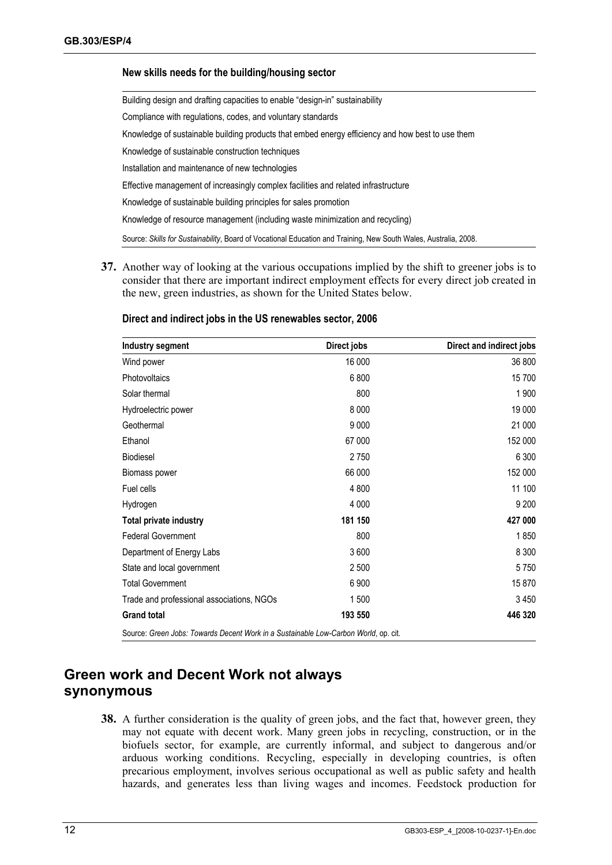#### **New skills needs for the building/housing sector**

Building design and drafting capacities to enable "design-in" sustainability Compliance with regulations, codes, and voluntary standards Knowledge of sustainable building products that embed energy efficiency and how best to use them Knowledge of sustainable construction techniques Installation and maintenance of new technologies Effective management of increasingly complex facilities and related infrastructure Knowledge of sustainable building principles for sales promotion Knowledge of resource management (including waste minimization and recycling) Source: *Skills for Sustainability*, Board of Vocational Education and Training, New South Wales, Australia, 2008.

**37.** Another way of looking at the various occupations implied by the shift to greener jobs is to consider that there are important indirect employment effects for every direct job created in the new, green industries, as shown for the United States below.

| Industry segment                                                                    | Direct jobs | Direct and indirect jobs |
|-------------------------------------------------------------------------------------|-------------|--------------------------|
| Wind power                                                                          | 16 000      | 36 800                   |
| Photovoltaics                                                                       | 6800        | 15 700                   |
| Solar thermal                                                                       | 800         | 1 900                    |
| Hydroelectric power                                                                 | 8 0 0 0     | 19 000                   |
| Geothermal                                                                          | 9 0 0 0     | 21 000                   |
| Ethanol                                                                             | 67 000      | 152 000                  |
| <b>Biodiesel</b>                                                                    | 2750        | 6 300                    |
| Biomass power                                                                       | 66 000      | 152 000                  |
| Fuel cells                                                                          | 4 800       | 11 100                   |
| Hydrogen                                                                            | 4 0 0 0     | 9 2 0 0                  |
| <b>Total private industry</b>                                                       | 181 150     | 427 000                  |
| <b>Federal Government</b>                                                           | 800         | 1850                     |
| Department of Energy Labs                                                           | 3600        | 8 3 0 0                  |
| State and local government                                                          | 2 500       | 5750                     |
| <b>Total Government</b>                                                             | 6 9 0 0     | 15870                    |
| Trade and professional associations, NGOs                                           | 1500        | 3 4 5 0                  |
| <b>Grand total</b>                                                                  | 193 550     | 446 320                  |
| Source: Green Jobs: Towards Decent Work in a Sustainable Low-Carbon World, op. cit. |             |                          |

#### **Direct and indirect jobs in the US renewables sector, 2006**

### **Green work and Decent Work not always synonymous**

**38.** A further consideration is the quality of green jobs, and the fact that, however green, they may not equate with decent work. Many green jobs in recycling, construction, or in the biofuels sector, for example, are currently informal, and subject to dangerous and/or arduous working conditions. Recycling, especially in developing countries, is often precarious employment, involves serious occupational as well as public safety and health hazards, and generates less than living wages and incomes. Feedstock production for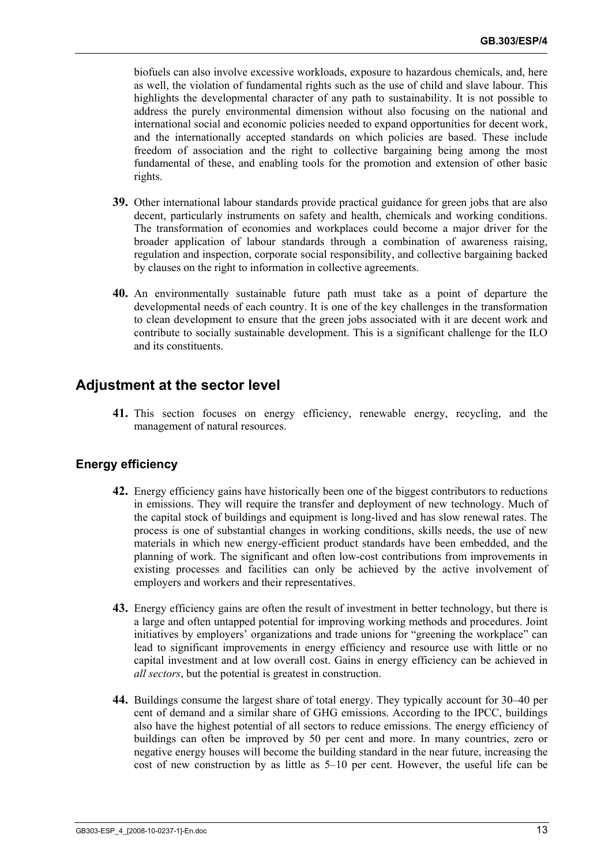biofuels can also involve excessive workloads, exposure to hazardous chemicals, and, here as well, the violation of fundamental rights such as the use of child and slave labour. This highlights the developmental character of any path to sustainability. It is not possible to address the purely environmental dimension without also focusing on the national and international social and economic policies needed to expand opportunities for decent work, and the internationally accepted standards on which policies are based. These include freedom of association and the right to collective bargaining being among the most fundamental of these, and enabling tools for the promotion and extension of other basic rights.

- **39.** Other international labour standards provide practical guidance for green jobs that are also decent, particularly instruments on safety and health, chemicals and working conditions. The transformation of economies and workplaces could become a major driver for the broader application of labour standards through a combination of awareness raising, regulation and inspection, corporate social responsibility, and collective bargaining backed by clauses on the right to information in collective agreements.
- **40.** An environmentally sustainable future path must take as a point of departure the developmental needs of each country. It is one of the key challenges in the transformation to clean development to ensure that the green jobs associated with it are decent work and contribute to socially sustainable development. This is a significant challenge for the ILO and its constituents.

### **Adjustment at the sector level**

**41.** This section focuses on energy efficiency, renewable energy, recycling, and the management of natural resources.

#### **Energy efficiency**

- **42.** Energy efficiency gains have historically been one of the biggest contributors to reductions in emissions. They will require the transfer and deployment of new technology. Much of the capital stock of buildings and equipment is long-lived and has slow renewal rates. The process is one of substantial changes in working conditions, skills needs, the use of new materials in which new energy-efficient product standards have been embedded, and the planning of work. The significant and often low-cost contributions from improvements in existing processes and facilities can only be achieved by the active involvement of employers and workers and their representatives.
- **43.** Energy efficiency gains are often the result of investment in better technology, but there is a large and often untapped potential for improving working methods and procedures. Joint initiatives by employers' organizations and trade unions for "greening the workplace" can lead to significant improvements in energy efficiency and resource use with little or no capital investment and at low overall cost. Gains in energy efficiency can be achieved in *all sectors*, but the potential is greatest in construction.
- **44.** Buildings consume the largest share of total energy. They typically account for 30–40 per cent of demand and a similar share of GHG emissions. According to the IPCC, buildings also have the highest potential of all sectors to reduce emissions. The energy efficiency of buildings can often be improved by 50 per cent and more. In many countries, zero or negative energy houses will become the building standard in the near future, increasing the cost of new construction by as little as 5–10 per cent. However, the useful life can be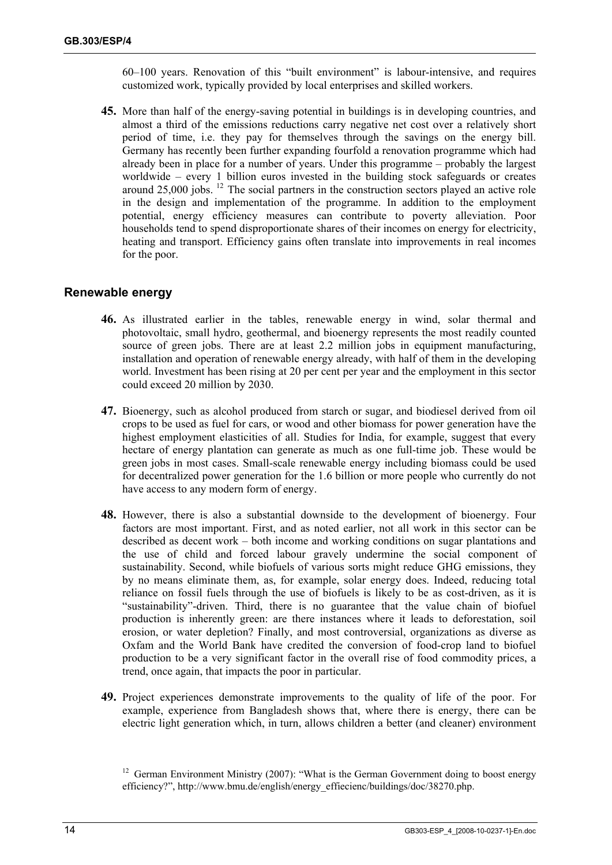60–100 years. Renovation of this "built environment" is labour-intensive, and requires customized work, typically provided by local enterprises and skilled workers.

**45.** More than half of the energy-saving potential in buildings is in developing countries, and almost a third of the emissions reductions carry negative net cost over a relatively short period of time, i.e. they pay for themselves through the savings on the energy bill. Germany has recently been further expanding fourfold a renovation programme which had already been in place for a number of years. Under this programme – probably the largest worldwide – every 1 billion euros invested in the building stock safeguards or creates around  $25,000$  jobs. <sup>12</sup> The social partners in the construction sectors played an active role in the design and implementation of the programme. In addition to the employment potential, energy efficiency measures can contribute to poverty alleviation. Poor households tend to spend disproportionate shares of their incomes on energy for electricity, heating and transport. Efficiency gains often translate into improvements in real incomes for the poor.

#### **Renewable energy**

- **46.** As illustrated earlier in the tables, renewable energy in wind, solar thermal and photovoltaic, small hydro, geothermal, and bioenergy represents the most readily counted source of green jobs. There are at least 2.2 million jobs in equipment manufacturing, installation and operation of renewable energy already, with half of them in the developing world. Investment has been rising at 20 per cent per year and the employment in this sector could exceed 20 million by 2030.
- **47.** Bioenergy, such as alcohol produced from starch or sugar, and biodiesel derived from oil crops to be used as fuel for cars, or wood and other biomass for power generation have the highest employment elasticities of all. Studies for India, for example, suggest that every hectare of energy plantation can generate as much as one full-time job. These would be green jobs in most cases. Small-scale renewable energy including biomass could be used for decentralized power generation for the 1.6 billion or more people who currently do not have access to any modern form of energy.
- **48.** However, there is also a substantial downside to the development of bioenergy. Four factors are most important. First, and as noted earlier, not all work in this sector can be described as decent work – both income and working conditions on sugar plantations and the use of child and forced labour gravely undermine the social component of sustainability. Second, while biofuels of various sorts might reduce GHG emissions, they by no means eliminate them, as, for example, solar energy does. Indeed, reducing total reliance on fossil fuels through the use of biofuels is likely to be as cost-driven, as it is "sustainability"-driven. Third, there is no guarantee that the value chain of biofuel production is inherently green: are there instances where it leads to deforestation, soil erosion, or water depletion? Finally, and most controversial, organizations as diverse as Oxfam and the World Bank have credited the conversion of food-crop land to biofuel production to be a very significant factor in the overall rise of food commodity prices, a trend, once again, that impacts the poor in particular.
- **49.** Project experiences demonstrate improvements to the quality of life of the poor. For example, experience from Bangladesh shows that, where there is energy, there can be electric light generation which, in turn, allows children a better (and cleaner) environment

<sup>&</sup>lt;sup>12</sup> German Environment Ministry (2007): "What is the German Government doing to boost energy efficiency?", http://www.bmu.de/english/energy\_effiecienc/buildings/doc/38270.php.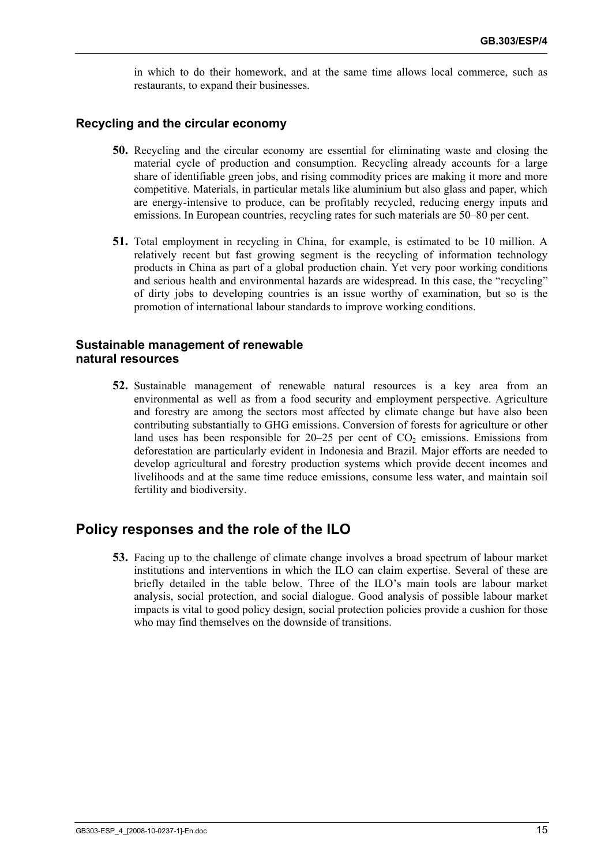in which to do their homework, and at the same time allows local commerce, such as restaurants, to expand their businesses.

#### **Recycling and the circular economy**

- **50.** Recycling and the circular economy are essential for eliminating waste and closing the material cycle of production and consumption. Recycling already accounts for a large share of identifiable green jobs, and rising commodity prices are making it more and more competitive. Materials, in particular metals like aluminium but also glass and paper, which are energy-intensive to produce, can be profitably recycled, reducing energy inputs and emissions. In European countries, recycling rates for such materials are 50–80 per cent.
- **51.** Total employment in recycling in China, for example, is estimated to be 10 million. A relatively recent but fast growing segment is the recycling of information technology products in China as part of a global production chain. Yet very poor working conditions and serious health and environmental hazards are widespread. In this case, the "recycling" of dirty jobs to developing countries is an issue worthy of examination, but so is the promotion of international labour standards to improve working conditions.

#### **Sustainable management of renewable natural resources**

**52.** Sustainable management of renewable natural resources is a key area from an environmental as well as from a food security and employment perspective. Agriculture and forestry are among the sectors most affected by climate change but have also been contributing substantially to GHG emissions. Conversion of forests for agriculture or other land uses has been responsible for  $20-25$  per cent of  $CO<sub>2</sub>$  emissions. Emissions from deforestation are particularly evident in Indonesia and Brazil. Major efforts are needed to develop agricultural and forestry production systems which provide decent incomes and livelihoods and at the same time reduce emissions, consume less water, and maintain soil fertility and biodiversity.

### **Policy responses and the role of the ILO**

**53.** Facing up to the challenge of climate change involves a broad spectrum of labour market institutions and interventions in which the ILO can claim expertise. Several of these are briefly detailed in the table below. Three of the ILO's main tools are labour market analysis, social protection, and social dialogue. Good analysis of possible labour market impacts is vital to good policy design, social protection policies provide a cushion for those who may find themselves on the downside of transitions.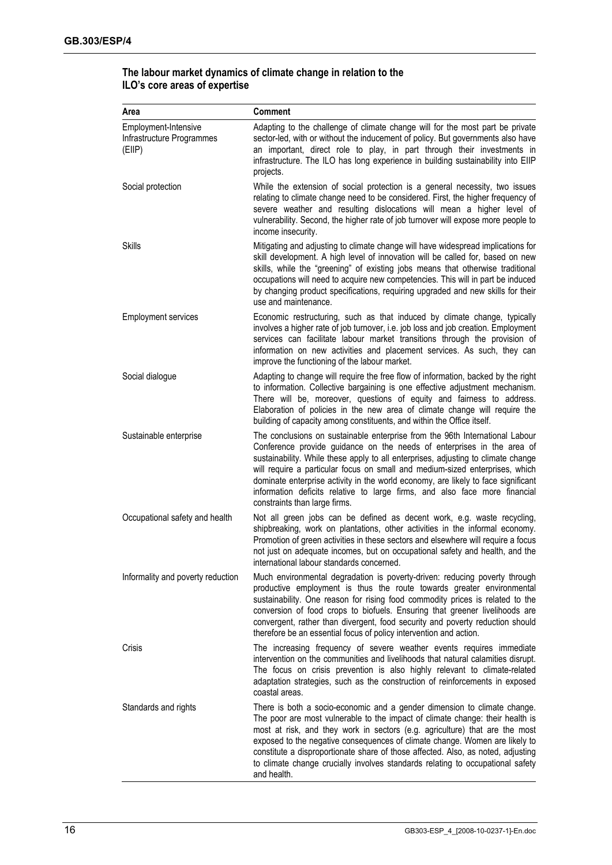| Area                                                        | <b>Comment</b>                                                                                                                                                                                                                                                                                                                                                                                                                                                                                                                  |
|-------------------------------------------------------------|---------------------------------------------------------------------------------------------------------------------------------------------------------------------------------------------------------------------------------------------------------------------------------------------------------------------------------------------------------------------------------------------------------------------------------------------------------------------------------------------------------------------------------|
| Employment-Intensive<br>Infrastructure Programmes<br>(EIIP) | Adapting to the challenge of climate change will for the most part be private<br>sector-led, with or without the inducement of policy. But governments also have<br>an important, direct role to play, in part through their investments in<br>infrastructure. The ILO has long experience in building sustainability into EIIP<br>projects.                                                                                                                                                                                    |
| Social protection                                           | While the extension of social protection is a general necessity, two issues<br>relating to climate change need to be considered. First, the higher frequency of<br>severe weather and resulting dislocations will mean a higher level of<br>vulnerability. Second, the higher rate of job turnover will expose more people to<br>income insecurity.                                                                                                                                                                             |
| Skills                                                      | Mitigating and adjusting to climate change will have widespread implications for<br>skill development. A high level of innovation will be called for, based on new<br>skills, while the "greening" of existing jobs means that otherwise traditional<br>occupations will need to acquire new competencies. This will in part be induced<br>by changing product specifications, requiring upgraded and new skills for their<br>use and maintenance.                                                                              |
| <b>Employment services</b>                                  | Economic restructuring, such as that induced by climate change, typically<br>involves a higher rate of job turnover, i.e. job loss and job creation. Employment<br>services can facilitate labour market transitions through the provision of<br>information on new activities and placement services. As such, they can<br>improve the functioning of the labour market.                                                                                                                                                       |
| Social dialogue                                             | Adapting to change will require the free flow of information, backed by the right<br>to information. Collective bargaining is one effective adjustment mechanism.<br>There will be, moreover, questions of equity and fairness to address.<br>Elaboration of policies in the new area of climate change will require the<br>building of capacity among constituents, and within the Office itself.                                                                                                                              |
| Sustainable enterprise                                      | The conclusions on sustainable enterprise from the 96th International Labour<br>Conference provide guidance on the needs of enterprises in the area of<br>sustainability. While these apply to all enterprises, adjusting to climate change<br>will require a particular focus on small and medium-sized enterprises, which<br>dominate enterprise activity in the world economy, are likely to face significant<br>information deficits relative to large firms, and also face more financial<br>constraints than large firms. |
| Occupational safety and health                              | Not all green jobs can be defined as decent work, e.g. waste recycling,<br>shipbreaking, work on plantations, other activities in the informal economy.<br>Promotion of green activities in these sectors and elsewhere will require a focus<br>not just on adequate incomes, but on occupational safety and health, and the<br>international labour standards concerned.                                                                                                                                                       |
| Informality and poverty reduction                           | Much environmental degradation is poverty-driven: reducing poverty through<br>productive employment is thus the route towards greater environmental<br>sustainability. One reason for rising food commodity prices is related to the<br>conversion of food crops to biofuels. Ensuring that greener livelihoods are<br>convergent, rather than divergent, food security and poverty reduction should<br>therefore be an essential focus of policy intervention and action.                                                      |
| Crisis                                                      | The increasing frequency of severe weather events requires immediate<br>intervention on the communities and livelihoods that natural calamities disrupt.<br>The focus on crisis prevention is also highly relevant to climate-related<br>adaptation strategies, such as the construction of reinforcements in exposed<br>coastal areas.                                                                                                                                                                                         |
| Standards and rights                                        | There is both a socio-economic and a gender dimension to climate change.<br>The poor are most vulnerable to the impact of climate change: their health is<br>most at risk, and they work in sectors (e.g. agriculture) that are the most<br>exposed to the negative consequences of climate change. Women are likely to<br>constitute a disproportionate share of those affected. Also, as noted, adjusting<br>to climate change crucially involves standards relating to occupational safety<br>and health.                    |

#### **The labour market dynamics of climate change in relation to the ILO's core areas of expertise**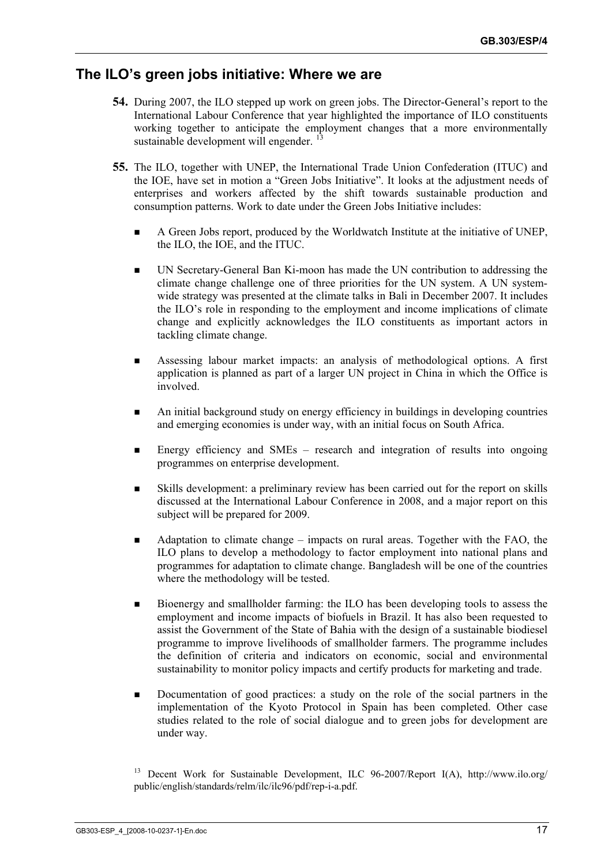### **The ILO's green jobs initiative: Where we are**

- **54.** During 2007, the ILO stepped up work on green jobs. The Director-General's report to the International Labour Conference that year highlighted the importance of ILO constituents working together to anticipate the employment changes that a more environmentally sustainable development will engender.<sup>13</sup>
- **55.** The ILO, together with UNEP, the International Trade Union Confederation (ITUC) and the IOE, have set in motion a "Green Jobs Initiative". It looks at the adjustment needs of enterprises and workers affected by the shift towards sustainable production and consumption patterns. Work to date under the Green Jobs Initiative includes:
	- A Green Jobs report, produced by the Worldwatch Institute at the initiative of UNEP, the ILO, the IOE, and the ITUC.
	- UN Secretary-General Ban Ki-moon has made the UN contribution to addressing the climate change challenge one of three priorities for the UN system. A UN systemwide strategy was presented at the climate talks in Bali in December 2007. It includes the ILO's role in responding to the employment and income implications of climate change and explicitly acknowledges the ILO constituents as important actors in tackling climate change.
	- Assessing labour market impacts: an analysis of methodological options. A first application is planned as part of a larger UN project in China in which the Office is involved.
	- An initial background study on energy efficiency in buildings in developing countries and emerging economies is under way, with an initial focus on South Africa.
	- Energy efficiency and SMEs research and integration of results into ongoing programmes on enterprise development.
	- Skills development: a preliminary review has been carried out for the report on skills discussed at the International Labour Conference in 2008, and a major report on this subject will be prepared for 2009.
	- Adaptation to climate change impacts on rural areas. Together with the FAO, the ILO plans to develop a methodology to factor employment into national plans and programmes for adaptation to climate change. Bangladesh will be one of the countries where the methodology will be tested.
	- Bioenergy and smallholder farming: the ILO has been developing tools to assess the employment and income impacts of biofuels in Brazil. It has also been requested to assist the Government of the State of Bahia with the design of a sustainable biodiesel programme to improve livelihoods of smallholder farmers. The programme includes the definition of criteria and indicators on economic, social and environmental sustainability to monitor policy impacts and certify products for marketing and trade.
	- Documentation of good practices: a study on the role of the social partners in the implementation of the Kyoto Protocol in Spain has been completed. Other case studies related to the role of social dialogue and to green jobs for development are under way.

<sup>&</sup>lt;sup>13</sup> Decent Work for Sustainable Development, ILC 96-2007/Report I(A), http://www.ilo.org/ public/english/standards/relm/ilc/ilc96/pdf/rep-i-a.pdf.